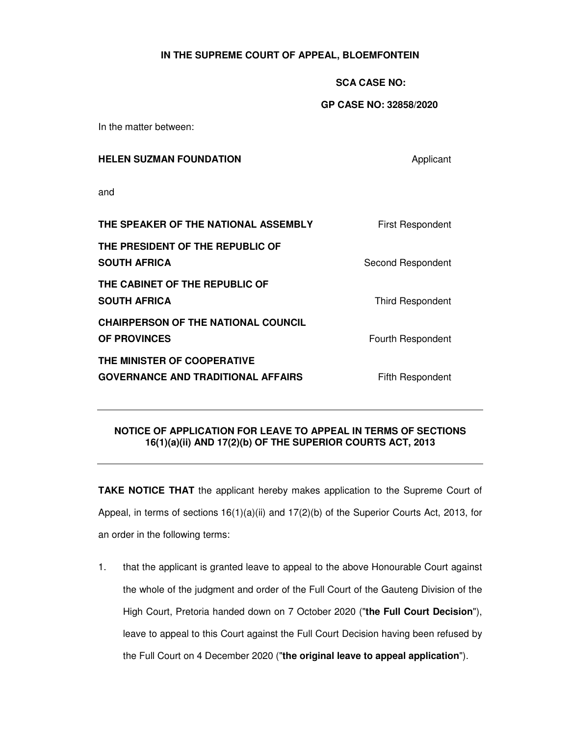## **IN THE SUPREME COURT OF APPEAL, BLOEMFONTEIN**

## **SCA CASE NO:**

## **GP CASE NO: 32858/2020**

In the matter between:

| <b>HELEN SUZMAN FOUNDATION</b> | Applicant |  |
|--------------------------------|-----------|--|
|                                |           |  |

and

| THE SPEAKER OF THE NATIONAL ASSEMBLY                                     | <b>First Respondent</b> |
|--------------------------------------------------------------------------|-------------------------|
| THE PRESIDENT OF THE REPUBLIC OF<br><b>SOUTH AFRICA</b>                  | Second Respondent       |
| THE CABINET OF THE REPUBLIC OF<br><b>SOUTH AFRICA</b>                    | <b>Third Respondent</b> |
| <b>CHAIRPERSON OF THE NATIONAL COUNCIL</b><br><b>OF PROVINCES</b>        | Fourth Respondent       |
| THE MINISTER OF COOPERATIVE<br><b>GOVERNANCE AND TRADITIONAL AFFAIRS</b> | Fifth Respondent        |

## **NOTICE OF APPLICATION FOR LEAVE TO APPEAL IN TERMS OF SECTIONS 16(1)(a)(ii) AND 17(2)(b) OF THE SUPERIOR COURTS ACT, 2013**

**TAKE NOTICE THAT** the applicant hereby makes application to the Supreme Court of Appeal, in terms of sections  $16(1)(a)(ii)$  and  $17(2)(b)$  of the Superior Courts Act, 2013, for an order in the following terms:

1. that the applicant is granted leave to appeal to the above Honourable Court against the whole of the judgment and order of the Full Court of the Gauteng Division of the High Court, Pretoria handed down on 7 October 2020 ("**the Full Court Decision**"), leave to appeal to this Court against the Full Court Decision having been refused by the Full Court on 4 December 2020 ("**the original leave to appeal application**").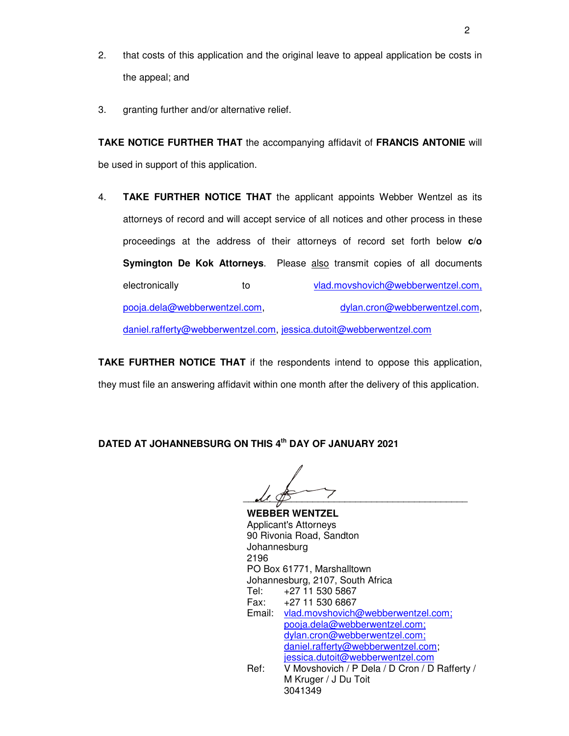- 2. that costs of this application and the original leave to appeal application be costs in the appeal; and
- 3. granting further and/or alternative relief.

**TAKE NOTICE FURTHER THAT** the accompanying affidavit of **FRANCIS ANTONIE** will be used in support of this application.

4. **TAKE FURTHER NOTICE THAT** the applicant appoints Webber Wentzel as its attorneys of record and will accept service of all notices and other process in these proceedings at the address of their attorneys of record set forth below **c/o Symington De Kok Attorneys**. Please also transmit copies of all documents electronically to vlad.movshovich@webberwentzel.com, pooja.dela@webberwentzel.com, dylan.cron@webberwentzel.com,

daniel.rafferty@webberwentzel.com, jessica.dutoit@webberwentzel.com

**TAKE FURTHER NOTICE THAT** if the respondents intend to oppose this application, they must file an answering affidavit within one month after the delivery of this application.

**DATED AT JOHANNEBSURG ON THIS 4th DAY OF JANUARY 2021** 

 $\mathcal{U} \ \ \mathcal{D}$ 

**WEBBER WENTZEL**  Applicant's Attorneys 90 Rivonia Road, Sandton Johannesburg 2196 PO Box 61771, Marshalltown Johannesburg, 2107, South Africa Tel: +27 11 530 5867 Fax: +27 11 530 6867 Email: vlad.movshovich@webberwentzel.com; pooja.dela@webberwentzel.com; dylan.cron@webberwentzel.com; daniel.rafferty@webberwentzel.com; jessica.dutoit@webberwentzel.com Ref: V Movshovich / P Dela / D Cron / D Rafferty / M Kruger / J Du Toit 3041349